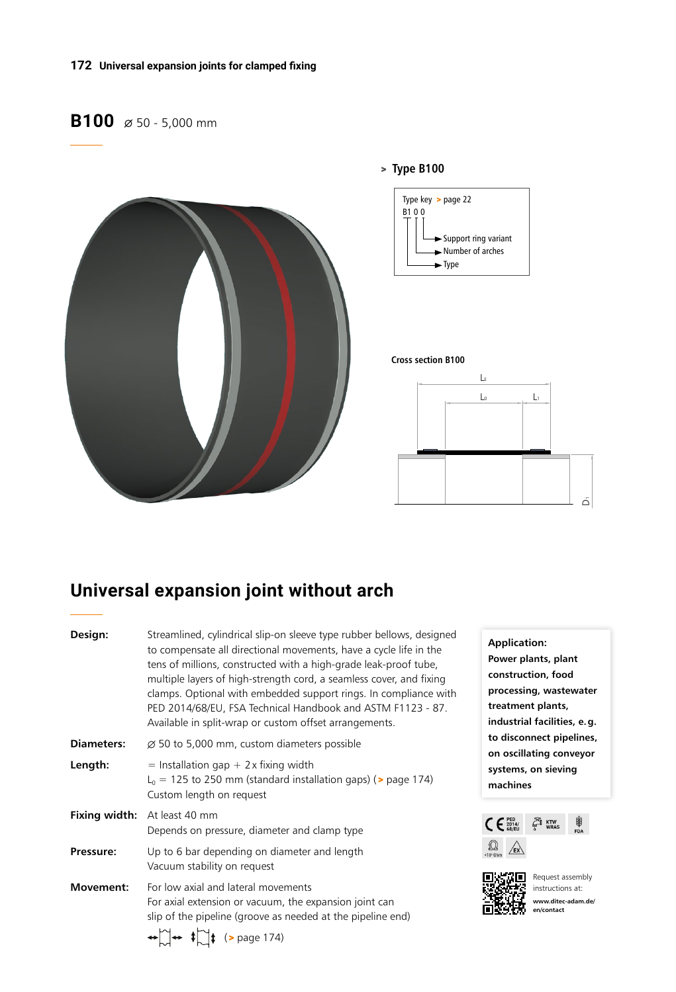#### **172 Universal expansion joints for clamped fixing**

## **B100**  $\emptyset$  50 - 5,000 mm



# **Universal expansion joint without arch**

| Design:           | Streamlined, cylindrical slip-on sleeve type rubber bellows, designed<br>to compensate all directional movements, have a cycle life in the<br>tens of millions, constructed with a high-grade leak-proof tube,<br>multiple layers of high-strength cord, a seamless cover, and fixing<br>clamps. Optional with embedded support rings. In compliance with<br>PED 2014/68/EU, FSA Technical Handbook and ASTM F1123 - 87.<br>Available in split-wrap or custom offset arrangements. |
|-------------------|------------------------------------------------------------------------------------------------------------------------------------------------------------------------------------------------------------------------------------------------------------------------------------------------------------------------------------------------------------------------------------------------------------------------------------------------------------------------------------|
| <b>Diameters:</b> | $\varnothing$ 50 to 5,000 mm, custom diameters possible                                                                                                                                                                                                                                                                                                                                                                                                                            |
| Length:           | $=$ Installation gap + 2 x fixing width<br>$L_0$ = 125 to 250 mm (standard installation gaps) ( $>$ page 174)<br>Custom length on request                                                                                                                                                                                                                                                                                                                                          |
|                   | Fixing width: At least 40 mm<br>Depends on pressure, diameter and clamp type                                                                                                                                                                                                                                                                                                                                                                                                       |
| Pressure:         | Up to 6 bar depending on diameter and length<br>Vacuum stability on request                                                                                                                                                                                                                                                                                                                                                                                                        |
| Movement:         | For low axial and lateral movements<br>For axial extension or vacuum, the expansion joint can<br>slip of the pipeline (groove as needed at the pipeline end)                                                                                                                                                                                                                                                                                                                       |

 $\leftrightarrow \sim \downarrow \rightarrow \downarrow \downarrow$  (> page 174)

**Application: Power plants, plant construction, food processing, wastewater treatment plants, industrial facilities, e.g. to disconnect pipelines, on oscillating conveyor systems, on sieving machines** 





Request assembly instructions at: **www.ditec-adam.de/ en/contact**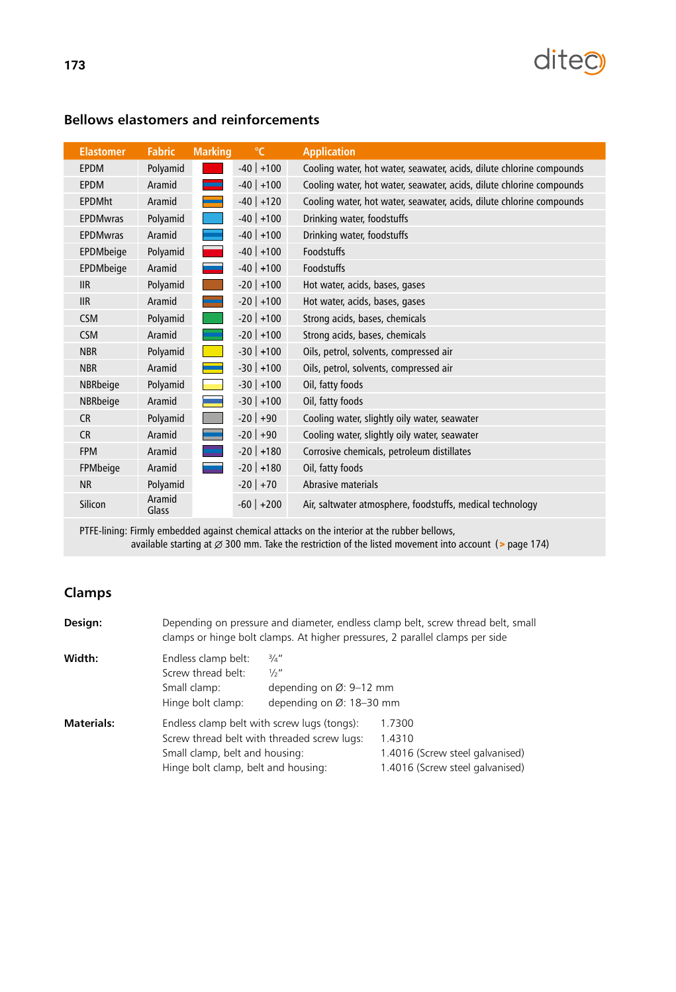

| <b>Elastomer</b> | <b>Fabric</b>   | <b>Marking</b> | $\mathrm{C}$ | <b>Application</b>                                                   |
|------------------|-----------------|----------------|--------------|----------------------------------------------------------------------|
| <b>EPDM</b>      | Polyamid        |                | $-40$ +100   | Cooling water, hot water, seawater, acids, dilute chlorine compounds |
| <b>EPDM</b>      | Aramid          |                | $-40$ +100   | Cooling water, hot water, seawater, acids, dilute chlorine compounds |
| <b>EPDMht</b>    | Aramid          |                | $-40$ +120   | Cooling water, hot water, seawater, acids, dilute chlorine compounds |
| <b>EPDMwras</b>  | Polyamid        |                | $-40$ +100   | Drinking water, foodstuffs                                           |
| <b>EPDMwras</b>  | Aramid          |                | $-40$ +100   | Drinking water, foodstuffs                                           |
| EPDMbeige        | Polyamid        |                | $-40$ +100   | Foodstuffs                                                           |
| EPDMbeige        | Aramid          |                | $-40$ +100   | Foodstuffs                                                           |
| <b>IIR</b>       | Polyamid        |                | $-20$ +100   | Hot water, acids, bases, gases                                       |
| <b>IIR</b>       | Aramid          |                | $-20$ +100   | Hot water, acids, bases, gases                                       |
| <b>CSM</b>       | Polyamid        |                | $-20$ +100   | Strong acids, bases, chemicals                                       |
| <b>CSM</b>       | Aramid          |                | $-20$ +100   | Strong acids, bases, chemicals                                       |
| <b>NBR</b>       | Polyamid        |                | $-30$ +100   | Oils, petrol, solvents, compressed air                               |
| <b>NBR</b>       | Aramid          |                | $-30$ +100   | Oils, petrol, solvents, compressed air                               |
| NBRbeige         | Polyamid        |                | $-30$ +100   | Oil, fatty foods                                                     |
| NBRbeige         | Aramid          |                | $-30$ +100   | Oil, fatty foods                                                     |
| <b>CR</b>        | Polyamid        |                | $-20$ +90    | Cooling water, slightly oily water, seawater                         |
| <b>CR</b>        | Aramid          |                | $-20$ +90    | Cooling water, slightly oily water, seawater                         |
| <b>FPM</b>       | Aramid          |                | $-20$ +180   | Corrosive chemicals, petroleum distillates                           |
| FPMbeige         | Aramid          |                | $-20$ +180   | Oil, fatty foods                                                     |
| <b>NR</b>        | Polyamid        |                | $-20$ +70    | Abrasive materials                                                   |
| Silicon          | Aramid<br>Glass |                | $-60$ +200   | Air, saltwater atmosphere, foodstuffs, medical technology            |

### **Bellows elastomers and reinforcements**

PTFE-lining: Firmly embedded against chemical attacks on the interior at the rubber bellows, available starting at  $\varnothing$  300 mm. Take the restriction of the listed movement into account (> page 174)

### **Clamps**

| Design:           | Depending on pressure and diameter, endless clamp belt, screw thread belt, small<br>clamps or hinge bolt clamps. At higher pressures, 2 parallel clamps per side |                                                                                                        |                                                                                        |  |  |  |  |
|-------------------|------------------------------------------------------------------------------------------------------------------------------------------------------------------|--------------------------------------------------------------------------------------------------------|----------------------------------------------------------------------------------------|--|--|--|--|
| Width:            | Endless clamp belt:<br>Screw thread belt:<br>Small clamp:<br>Hinge bolt clamp:                                                                                   | $\frac{3}{4}$ "<br>$\frac{1}{2}$ "<br>depending on $\varnothing$ : 9-12 mm<br>depending on Ø: 18-30 mm |                                                                                        |  |  |  |  |
| <b>Materials:</b> | Small clamp, belt and housing:<br>Hinge bolt clamp, belt and housing:                                                                                            | Endless clamp belt with screw lugs (tongs):<br>Screw thread belt with threaded screw lugs:             | 1.7300<br>1.4310<br>1.4016 (Screw steel galvanised)<br>1.4016 (Screw steel galvanised) |  |  |  |  |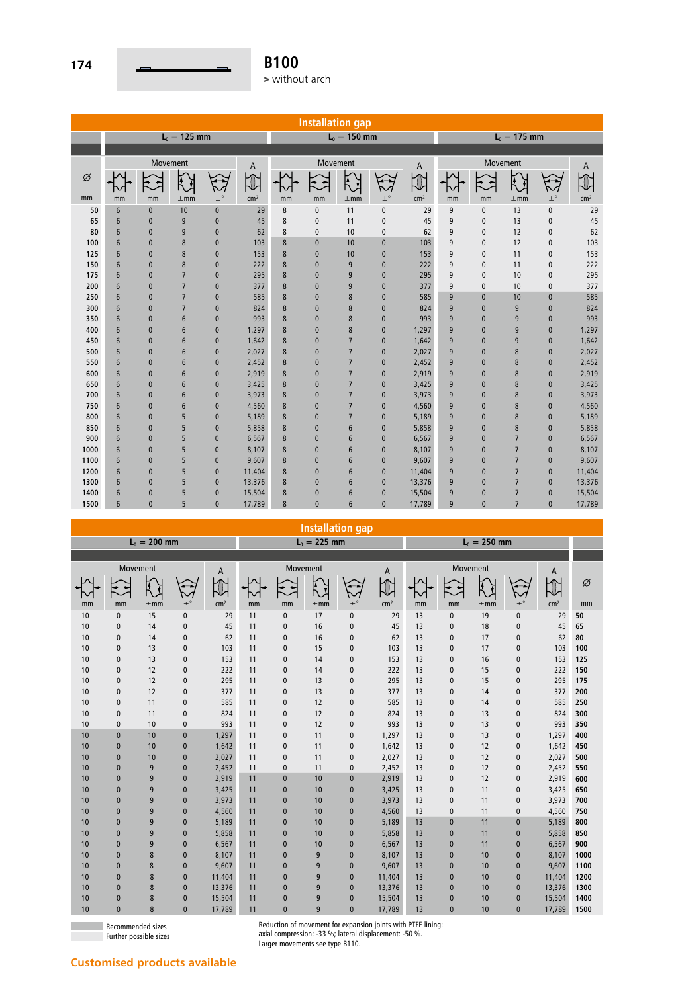

|      | <b>Installation gap</b> |              |                |              |                 |    |              |                 |               |                 |                |              |                |               |                 |
|------|-------------------------|--------------|----------------|--------------|-----------------|----|--------------|-----------------|---------------|-----------------|----------------|--------------|----------------|---------------|-----------------|
|      |                         |              | $L_0 = 125$ mm |              |                 |    |              | $L_0 = 150$ mm  |               |                 | $L_0 = 175$ mm |              |                |               |                 |
|      |                         |              |                |              |                 |    |              |                 |               |                 |                |              |                |               |                 |
|      |                         | Movement     |                |              | A               |    |              | Movement        |               | A               |                | Movement     |                |               | A               |
| Ø    |                         |              |                |              |                 |    |              | Ā               |               |                 |                |              | Ĩ4             |               |                 |
| mm   | mm                      | mm           | $\pm$ mm       | $\pm^\circ$  | cm <sup>2</sup> | mm | mm           | $\pm$ mm        | $\pm^{\circ}$ | cm <sup>2</sup> | mm             | mm           | $\pm$ mm       | $\pm^{\circ}$ | cm <sup>2</sup> |
| 50   | $6\,$                   | $\mathbf{0}$ | 10             | $\mathbf{0}$ | 29              | 8  | 0            | 11              | $\mathbf{0}$  | 29              | 9              | $\mathbf{0}$ | 13             | $\pmb{0}$     | 29              |
| 65   | $6\phantom{1}$          | $\mathbf{0}$ | 9              | $\mathbf{0}$ | 45              | 8  | $\mathbf{0}$ | 11              | $\mathbf{0}$  | 45              | 9              | $\mathbf{0}$ | 13             | $\mathbf{0}$  | 45              |
| 80   | $6\phantom{1}$          | $\mathbf{0}$ | 9              | $\pmb{0}$    | 62              | 8  | $\pmb{0}$    | 10              | $\mathbf{0}$  | 62              | 9              | $\pmb{0}$    | 12             | $\pmb{0}$     | 62              |
| 100  | $6\phantom{1}$          | $\mathbf{0}$ | 8              | $\mathbf{0}$ | 103             | 8  | $\pmb{0}$    | 10              | $\mathbf 0$   | 103             | 9              | $\mathbf{0}$ | 12             | $\mathbf{0}$  | 103             |
| 125  | $6\phantom{1}$          | $\mathbf{0}$ | 8              | $\mathbf{0}$ | 153             | 8  | $\mathbf{0}$ | 10              | $\mathbf{0}$  | 153             | 9              | $\mathbf{0}$ | 11             | $\mathbf{0}$  | 153             |
| 150  | 6                       | $\mathbf{0}$ | 8              | $\pmb{0}$    | 222             | 8  | $\pmb{0}$    | 9               | $\mathbf{0}$  | 222             | 9              | $\mathbf{0}$ | 11             | $\mathbf{0}$  | 222             |
| 175  | 6                       | $\mathbf{0}$ | $\overline{7}$ | $\pmb{0}$    | 295             | 8  | $\mathbf{0}$ | 9               | $\mathbf{0}$  | 295             | 9              | $\mathbf{0}$ | 10             | $\mathbf{0}$  | 295             |
| 200  | 6                       | $\mathbf{0}$ | $\overline{7}$ | $\mathbf{0}$ | 377             | 8  | $\mathbf{0}$ | 9               | $\mathbf{0}$  | 377             | 9              | $\mathbf{0}$ | 10             | $\mathbf{0}$  | 377             |
| 250  | 6                       | $\mathbf{0}$ | $\overline{7}$ | $\pmb{0}$    | 585             | 8  | $\bf{0}$     | 8               | $\mathbf{0}$  | 585             | 9              | $\mathbf{0}$ | 10             | $\mathbf{0}$  | 585             |
| 300  | 6                       | $\mathbf{0}$ | $\overline{7}$ | $\bf{0}$     | 824             | 8  | $\mathbf{0}$ | 8               | $\mathbf{0}$  | 824             | 9              | $\mathbf{0}$ | 9              | $\mathbf{0}$  | 824             |
| 350  | 6                       | $\mathbf{0}$ | 6              | $\mathbf{0}$ | 993             | 8  | $\mathbf{0}$ | 8               | $\mathbf{0}$  | 993             | 9              | $\mathbf{0}$ | 9              | $\mathbf{0}$  | 993             |
| 400  | 6                       | $\mathbf{0}$ | 6              | $\bf{0}$     | 1,297           | 8  | $\mathbf{0}$ | 8               | $\mathbf{0}$  | 1,297           | 9              | $\mathbf{0}$ | 9              | $\bf{0}$      | 1,297           |
| 450  | 6                       | $\mathbf{0}$ | 6              | $\bf{0}$     | 1,642           | 8  | $\mathbf{0}$ | $\overline{7}$  | $\mathbf{0}$  | 1,642           | 9              | $\mathbf{0}$ | 9              | $\mathbf{0}$  | 1,642           |
| 500  | $6\phantom{1}$          | $\mathbf{0}$ | 6              | $\bf{0}$     | 2,027           | 8  | $\mathbf{0}$ | $\overline{7}$  | $\mathbf{0}$  | 2,027           | 9              | $\mathbf{0}$ | 8              | $\mathbf{0}$  | 2,027           |
| 550  | $6\phantom{1}$          | $\mathbf{0}$ | 6              | $\bf{0}$     | 2,452           | 8  | $\mathbf{0}$ | $\overline{7}$  | $\mathbf{0}$  | 2,452           | 9              | $\mathbf{0}$ | 8              | $\bf{0}$      | 2,452           |
| 600  | 6                       | $\mathbf{0}$ | 6              | $\bf{0}$     | 2,919           | 8  | $\mathbf{0}$ | $\overline{7}$  | $\mathbf{0}$  | 2,919           | 9              | $\mathbf{0}$ | 8              | $\mathbf{0}$  | 2,919           |
| 650  | 6                       | $\mathbf{0}$ | 6              | $\mathbf{0}$ | 3,425           | 8  | $\mathbf{0}$ | $\overline{7}$  | $\mathbf{0}$  | 3,425           | 9              | $\mathbf{0}$ | 8              | $\mathbf{0}$  | 3,425           |
| 700  | 6                       | $\mathbf{0}$ | 6              | $\mathbf{0}$ | 3,973           | 8  | $\mathbf{0}$ | $\overline{7}$  | $\mathbf{0}$  | 3,973           | 9              | $\mathbf{0}$ | 8              | $\mathbf{0}$  | 3,973           |
| 750  | 6                       | $\mathbf{0}$ | 6              | $\bf{0}$     | 4,560           | 8  | $\mathbf{0}$ | $\overline{7}$  | $\mathbf{0}$  | 4,560           | 9              | $\mathbf{0}$ | 8              | $\mathbf{0}$  | 4,560           |
| 800  | 6                       | $\mathbf{0}$ | 5              | $\pmb{0}$    | 5,189           | 8  | $\mathbf{0}$ | $\overline{7}$  | $\mathbf{0}$  | 5,189           | 9              | $\mathbf{0}$ | 8              | $\mathbf{0}$  | 5,189           |
| 850  | $6\phantom{1}$          | $\mathbf{0}$ | 5              | $\pmb{0}$    | 5,858           | 8  | $\bf{0}$     | $6\phantom{1}6$ | $\bf{0}$      | 5,858           | 9              | $\pmb{0}$    | $\bf 8$        | $\pmb{0}$     | 5,858           |
| 900  | $6\phantom{1}6$         | $\mathbf{0}$ | 5              | $\bf{0}$     | 6,567           | 8  | $\mathbf{0}$ | 6               | $\mathbf{0}$  | 6,567           | 9              | $\mathbf{0}$ | $\overline{7}$ | $\mathbf{0}$  | 6,567           |
| 1000 | 6                       | $\mathbf{0}$ | 5              | $\mathbf{0}$ | 8,107           | 8  | $\mathbf{0}$ | 6               | $\mathbf{0}$  | 8,107           | 9              | $\mathbf{0}$ | $\overline{7}$ | $\mathbf{0}$  | 8,107           |
| 1100 | $6\phantom{1}$          | $\mathbf{0}$ | 5              | $\pmb{0}$    | 9,607           | 8  | $\bf{0}$     | 6               | $\mathbf{0}$  | 9,607           | 9              | $\mathbf{0}$ | $\overline{7}$ | $\pmb{0}$     | 9,607           |
| 1200 | 6                       | $\mathbf{0}$ | 5              | $\mathbf{0}$ | 11,404          | 8  | $\mathbf{0}$ | 6               | $\mathbf{0}$  | 11,404          | 9              | $\mathbf{0}$ | $\overline{7}$ | $\mathbf{0}$  | 11,404          |
| 1300 | 6                       | $\mathbf{0}$ | 5              | $\mathbf{0}$ | 13,376          | 8  | $\mathbf{0}$ | 6               | $\mathbf{0}$  | 13,376          | 9              | $\mathbf{0}$ | $\overline{7}$ | $\mathbf{0}$  | 13,376          |
| 1400 | 6                       | $\mathbf{0}$ | 5              | $\pmb{0}$    | 15,504          | 8  | $\bf{0}$     | 6               | $\mathbf{0}$  | 15,504          | 9              | $\mathbf{0}$ | $\overline{7}$ | $\mathbf{0}$  | 15,504          |
| 1500 | 6                       | $\mathbf{0}$ | 5              | $\mathbf{0}$ | 17,789          | 8  | $\mathbf{0}$ | 6               | $\mathbf{0}$  | 17,789          | 9              | $\mathbf{0}$ | $\overline{7}$ | $\mathbf{0}$  | 17,789          |

**Installation gap**

|         | $L_0 = 250$ mm       |               |          |              |               | $L_0 = 225$ mm  |               |          |               |    | $L_0 = 200$ mm  |               |          |              |    |  |  |
|---------|----------------------|---------------|----------|--------------|---------------|-----------------|---------------|----------|---------------|----|-----------------|---------------|----------|--------------|----|--|--|
|         |                      |               |          |              |               |                 |               |          |               |    |                 |               |          |              |    |  |  |
|         | A                    | Movement      |          |              | Movement<br>A |                 |               |          | Movement<br>A |    |                 |               |          |              |    |  |  |
| Ø<br>mm | ⇓<br>cm <sup>2</sup> | $\pm^{\circ}$ | $\pm$ mm | mm           | mm            | cm <sup>2</sup> | $\pm^{\circ}$ | $\pm$ mm | mm            | mm | cm <sup>2</sup> | $\pm^{\circ}$ | $\pm$ mm | mm           | mm |  |  |
| 50      | 29                   | 0             | 19       | $\mathbf{0}$ | 13            | 29              | $\mathbf{0}$  | 17       | $\mathbf{0}$  | 11 | 29              | $\mathbf{0}$  | 15       | $\mathbf{0}$ | 10 |  |  |
| 65      | 45                   | 0             | 18       | 0            | 13            | 45              | $\mathbf{0}$  | 16       | $\mathbf{0}$  | 11 | 45              | $\mathbf{0}$  | 14       | $\mathbf{0}$ | 10 |  |  |
| 80      | 62                   | 0             | 17       | $\mathbf{0}$ | 13            | 62              | $\mathbf{0}$  | 16       | $\mathbf{0}$  | 11 | 62              | $\mathbf{0}$  | 14       | $\mathbf{0}$ | 10 |  |  |
| 100     | 103                  | 0             | 17       | $\mathbf{0}$ | 13            | 103             | $\mathbf{0}$  | 15       | $\bf{0}$      | 11 | 103             | $\mathbf{0}$  | 13       | $\pmb{0}$    | 10 |  |  |
| 125     | 153                  | $\mathbf{0}$  | 16       | 0            | 13            | 153             | $\mathbf{0}$  | 14       | 0             | 11 | 153             | $\mathbf{0}$  | 13       | $\pmb{0}$    | 10 |  |  |
| 150     | 222                  | 0             | 15       | $\mathbf{0}$ | 13            | 222             | $\mathbf{0}$  | 14       | $\mathbf{0}$  | 11 | 222             | $\mathbf{0}$  | 12       | $\pmb{0}$    | 10 |  |  |
| 175     | 295                  | 0             | 15       | 0            | 13            | 295             | $\mathbf{0}$  | 13       | 0             | 11 | 295             | $\mathbf{0}$  | 12       | $\pmb{0}$    | 10 |  |  |
| 200     | 377                  | $\mathbf{0}$  | 14       | $\mathbf{0}$ | 13            | 377             | 0             | 13       | $\mathbf{0}$  | 11 | 377             | $\mathbf{0}$  | 12       | $\pmb{0}$    | 10 |  |  |
| 250     | 585                  | 0             | 14       | $\mathbf{0}$ | 13            | 585             | $\mathbf{0}$  | 12       | $\mathbf{0}$  | 11 | 585             | $\mathbf{0}$  | 11       | $\mathbf{0}$ | 10 |  |  |
| 300     | 824                  | 0             | 13       | 0            | 13            | 824             | $\mathbf{0}$  | 12       | 0             | 11 | 824             | $\pmb{0}$     | 11       | $\pmb{0}$    | 10 |  |  |
| 350     | 993                  | 0             | 13       | $\mathbf{0}$ | 13            | 993             | $\mathbf{0}$  | 12       | $\mathbf{0}$  | 11 | 993             | $\mathbf{0}$  | 10       | $\mathbf{0}$ | 10 |  |  |
| 400     | 1,297                | 0             | 13       | $\mathbf{0}$ | 13            | 1,297           | 0             | 11       | 0             | 11 | 1,297           | $\mathbf{0}$  | 10       | $\pmb{0}$    | 10 |  |  |
| 450     | 1,642                | 0             | 12       | $\mathbf{0}$ | 13            | 1,642           | $\mathbf{0}$  | 11       | $\mathbf{0}$  | 11 | 1,642           | $\mathbf{0}$  | 10       | $\mathbf{0}$ | 10 |  |  |
| 500     | 2,027                | 0             | 12       | $\mathbf{0}$ | 13            | 2,027           | $\mathbf{0}$  | 11       | $\mathbf{0}$  | 11 | 2,027           | $\mathbf{0}$  | 10       | $\mathbf{0}$ | 10 |  |  |
| 550     | 2,452                | $\mathbf{0}$  | 12       | $\mathbf{0}$ | 13            | 2,452           | $\mathbf{0}$  | 11       | $\mathbf{0}$  | 11 | 2,452           | $\mathbf{0}$  | 9        | $\mathbf{0}$ | 10 |  |  |
| 600     | 2,919                | $\mathbf{0}$  | 12       | $\mathbf{0}$ | 13            | 2,919           | $\mathbf{0}$  | 10       | $\mathbf{0}$  | 11 | 2,919           | $\mathbf{0}$  | 9        | $\mathbf{0}$ | 10 |  |  |
| 650     | 3,425                | $\mathbf{0}$  | 11       | $\mathbf{0}$ | 13            | 3,425           | $\mathbf{0}$  | 10       | $\mathbf{0}$  | 11 | 3,425           | $\mathbf{0}$  | 9        | $\mathbf{0}$ | 10 |  |  |
| 700     | 3,973                | $\mathbf{0}$  | 11       | $\mathbf{0}$ | 13            | 3,973           | $\mathbf{0}$  | 10       | $\mathbf{0}$  | 11 | 3,973           | $\mathbf{0}$  | 9        | $\mathbf{0}$ | 10 |  |  |
| 750     | 4,560                | $\mathbf{0}$  | 11       | $\mathbf{0}$ | 13            | 4,560           | $\mathbf{0}$  | 10       | $\mathbf{0}$  | 11 | 4,560           | $\mathbf{0}$  | 9        | $\mathbf{0}$ | 10 |  |  |
| 800     | 5,189                | $\mathbf{0}$  | 11       | $\mathbf{0}$ | 13            | 5,189           | $\mathbf{0}$  | 10       | $\bf{0}$      | 11 | 5,189           | $\mathbf{0}$  | 9        | $\mathbf{0}$ | 10 |  |  |
| 850     | 5,858                | $\mathbf{0}$  | 11       | $\mathbf{0}$ | 13            | 5,858           | $\mathbf{0}$  | 10       | $\mathbf{0}$  | 11 | 5,858           | $\mathbf{0}$  | 9        | $\mathbf{0}$ | 10 |  |  |
| 900     | 6,567                | $\mathbf{0}$  | 11       | $\mathbf{0}$ | 13            | 6,567           | $\mathbf{0}$  | 10       | $\bf{0}$      | 11 | 6,567           | $\mathbf{0}$  | 9        | $\mathbf{0}$ | 10 |  |  |
| 1000    | 8,107                | $\mathbf{0}$  | 10       | $\mathbf{0}$ | 13            | 8,107           | $\mathbf{0}$  | 9        | $\bf{0}$      | 11 | 8,107           | $\mathbf{0}$  | 8        | $\mathbf{0}$ | 10 |  |  |
| 1100    | 9,607                | $\mathbf{0}$  | 10       | $\mathbf{0}$ | 13            | 9,607           | $\mathbf{0}$  | 9        | $\mathbf{0}$  | 11 | 9,607           | $\mathbf{0}$  | 8        | $\mathbf{0}$ | 10 |  |  |
| 1200    | 11,404               | $\mathbf{0}$  | 10       | $\mathbf{0}$ | 13            | 11,404          | $\mathbf{0}$  | 9        | $\mathbf{0}$  | 11 | 11,404          | $\mathbf{0}$  | 8        | $\mathbf{0}$ | 10 |  |  |
| 1300    | 13,376               | $\mathbf{0}$  | 10       | $\mathbf{0}$ | 13            | 13,376          | $\mathbf 0$   | 9        | $\mathbf{0}$  | 11 | 13,376          | $\mathbf{0}$  | 8        | $\pmb{0}$    | 10 |  |  |
| 1400    | 15,504               | $\mathbf{0}$  | 10       | $\mathbf{0}$ | 13            | 15,504          | $\mathbf 0$   | 9        | $\mathbf 0$   | 11 | 15,504          | $\mathbf{0}$  | 8        | $\mathbf{0}$ | 10 |  |  |
| 1500    | 17,789               | $\mathbf{0}$  | 10       | $\mathbf{0}$ | 13            | 17,789          | $\mathbf{0}$  | 9        | $\mathbf{0}$  | 11 | 17,789          | $\mathbf{0}$  | 8        | $\mathbf{0}$ | 10 |  |  |

Recommended sizes Further possible sizes Reduction of movement for expansion joints with PTFE lining: axial compression: -33 %; lateral displacement: -50 %. Larger movements see type B110.